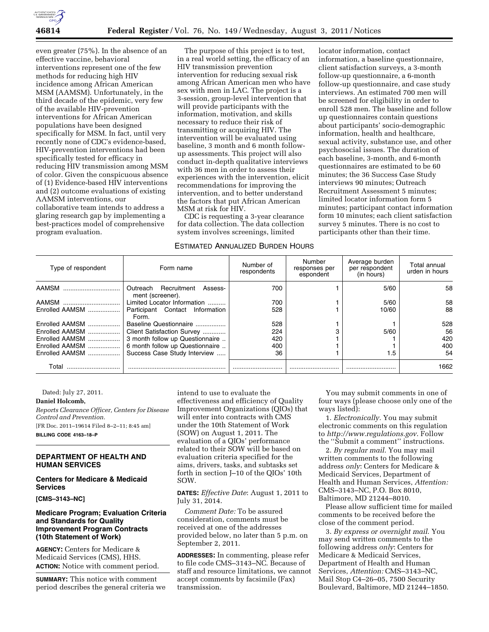

even greater (75%). In the absence of an effective vaccine, behavioral interventions represent one of the few methods for reducing high HIV incidence among African American MSM (AAMSM). Unfortunately, in the third decade of the epidemic, very few of the available HIV-prevention interventions for African American populations have been designed specifically for MSM. In fact, until very recently none of CDC's evidence-based, HIV-prevention interventions had been specifically tested for efficacy in reducing HIV transmission among MSM of color. Given the conspicuous absence of (1) Evidence-based HIV interventions and (2) outcome evaluations of existing AAMSM interventions, our collaborative team intends to address a glaring research gap by implementing a best-practices model of comprehensive program evaluation.

The purpose of this project is to test, in a real world setting, the efficacy of an HIV transmission prevention intervention for reducing sexual risk among African American men who have sex with men in LAC. The project is a 3-session, group-level intervention that will provide participants with the information, motivation, and skills necessary to reduce their risk of transmitting or acquiring HIV. The intervention will be evaluated using baseline, 3 month and 6 month followup assessments. This project will also conduct in-depth qualitative interviews with 36 men in order to assess their experiences with the intervention, elicit recommendations for improving the intervention, and to better understand the factors that put African American MSM at risk for HIV.

CDC is requesting a 3-year clearance for data collection. The data collection system involves screenings, limited

### ESTIMATED ANNUALIZED BURDEN HOURS

locator information, contact information, a baseline questionnaire, client satisfaction surveys, a 3-month follow-up questionnaire, a 6-month follow-up questionnaire, and case study interviews. An estimated 700 men will be screened for eligibility in order to enroll 528 men. The baseline and follow up questionnaires contain questions about participants' socio-demographic information, health and healthcare, sexual activity, substance use, and other psychosocial issues. The duration of each baseline, 3-month, and 6-month questionnaires are estimated to be 60 minutes; the 36 Success Case Study interviews 90 minutes; Outreach Recruitment Assessment 5 minutes; limited locator information form 5 minutes; participant contact information form 10 minutes; each client satisfaction survey 5 minutes. There is no cost to participants other than their time.

| Type of respondent | Form name                                           | Number of<br>respondents | Number<br>responses per<br>espondent | Average burden<br>per respondent<br>(in hours) | Total annual<br>urden in hours |
|--------------------|-----------------------------------------------------|--------------------------|--------------------------------------|------------------------------------------------|--------------------------------|
| AAMSM              | Outreach Recruitment<br>Assess-<br>ment (screener). | 700                      |                                      | 5/60                                           | 58                             |
| AAMSM              | Limited Locator Information                         | 700                      |                                      | 5/60                                           | 58                             |
| Enrolled AAMSM     | Participant Contact Information<br>Form.            | 528                      |                                      | 10/60                                          | 88                             |
| Enrolled AAMSM     | Baseline Questionnaire                              | 528                      |                                      |                                                | 528                            |
| Enrolled AAMSM     | Client Satisfaction Survey                          | 224                      |                                      | 5/60                                           | 56                             |
| Enrolled AAMSM     | 3 month follow up Questionnaire                     | 420                      |                                      |                                                | 420                            |
| Enrolled AAMSM     | 6 month follow up Questionnaire                     | 400                      |                                      |                                                | 400                            |
| Enrolled AAMSM     | Success Case Study Interview                        | 36                       |                                      | 1.5                                            | 54                             |
| Total              |                                                     |                          |                                      |                                                | 1662                           |

Dated: July 27, 2011.

#### **Daniel Holcomb,**

*Reports Clearance Officer, Centers for Disease Control and Prevention.*  [FR Doc. 2011–19614 Filed 8–2–11; 8:45 am] **BILLING CODE 4163–18–P** 

# **DEPARTMENT OF HEALTH AND HUMAN SERVICES**

# **Centers for Medicare & Medicaid Services**

**[CMS–3143–NC]** 

# **Medicare Program; Evaluation Criteria and Standards for Quality Improvement Program Contracts (10th Statement of Work)**

**AGENCY:** Centers for Medicare & Medicaid Services (CMS), HHS. **ACTION:** Notice with comment period.

**SUMMARY:** This notice with comment period describes the general criteria we intend to use to evaluate the effectiveness and efficiency of Quality Improvement Organizations (QIOs) that will enter into contracts with CMS under the 10th Statement of Work (SOW) on August 1, 2011. The evaluation of a QIOs' performance related to their SOW will be based on evaluation criteria specified for the aims, drivers, tasks, and subtasks set forth in section J–10 of the QIOs' 10th SOW.

### **DATES:** *Effective Date*: August 1, 2011 to July 31, 2014.

*Comment Date:* To be assured consideration, comments must be received at one of the addresses provided below, no later than 5 p.m. on September 2, 2011.

**ADDRESSES:** In commenting, please refer to file code CMS–3143–NC. Because of staff and resource limitations, we cannot accept comments by facsimile (Fax) transmission.

You may submit comments in one of four ways (please choose only one of the ways listed):

1. *Electronically.* You may submit electronic comments on this regulation to *<http://www.regulations.gov>*. Follow the ''Submit a comment'' instructions.

2. *By regular mail*. You may mail written comments to the following address *only*: Centers for Medicare & Medicaid Services, Department of Health and Human Services, *Attention:*  CMS–3143–NC, P.O. Box 8010, Baltimore, MD 21244–8010.

Please allow sufficient time for mailed comments to be received before the close of the comment period.

3. *By express or overnight mail*. You may send written comments to the following address *only*: Centers for Medicare & Medicaid Services, Department of Health and Human Services, *Attention:* CMS–3143–NC, Mail Stop C4–26–05, 7500 Security Boulevard, Baltimore, MD 21244–1850.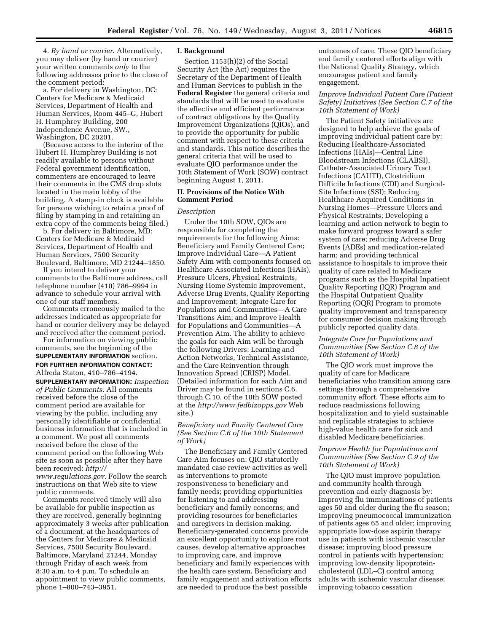4. *By hand or courier*. Alternatively, you may deliver (by hand or courier) your written comments *only* to the following addresses prior to the close of the comment period:

a. For delivery in Washington, DC: Centers for Medicare & Medicaid Services, Department of Health and Human Services, Room 445–G, Hubert H. Humphrey Building, 200 Independence Avenue, SW., Washington, DC 20201.

(Because access to the interior of the Hubert H. Humphrey Building is not readily available to persons without Federal government identification, commenters are encouraged to leave their comments in the CMS drop slots located in the main lobby of the building. A stamp-in clock is available for persons wishing to retain a proof of filing by stamping in and retaining an extra copy of the comments being filed.)

b. For delivery in Baltimore, MD: Centers for Medicare & Medicaid Services, Department of Health and Human Services, 7500 Security Boulevard, Baltimore, MD 21244–1850.

If you intend to deliver your comments to the Baltimore address, call telephone number (410) 786–9994 in advance to schedule your arrival with one of our staff members.

Comments erroneously mailed to the addresses indicated as appropriate for hand or courier delivery may be delayed and received after the comment period.

For information on viewing public comments, see the beginning of the **SUPPLEMENTARY INFORMATION** section. **FOR FURTHER INFORMATION CONTACT:** 

Alfreda Staton, 410–786–4194. **SUPPLEMENTARY INFORMATION:** *Inspection of Public Comments:* All comments received before the close of the

comment period are available for viewing by the public, including any personally identifiable or confidential business information that is included in a comment. We post all comments received before the close of the comment period on the following Web site as soon as possible after they have been received: *[http://](http://www.regulations.gov) [www.regulations.gov](http://www.regulations.gov)*. Follow the search instructions on that Web site to view public comments.

Comments received timely will also be available for public inspection as they are received, generally beginning approximately 3 weeks after publication of a document, at the headquarters of the Centers for Medicare & Medicaid Services, 7500 Security Boulevard, Baltimore, Maryland 21244, Monday through Friday of each week from 8:30 a.m. to 4 p.m. To schedule an appointment to view public comments, phone 1–800–743–3951.

#### **I. Background**

Section 1153(h)(2) of the Social Security Act (the Act) requires the Secretary of the Department of Health and Human Services to publish in the **Federal Register** the general criteria and standards that will be used to evaluate the effective and efficient performance of contract obligations by the Quality Improvement Organizations (QIOs), and to provide the opportunity for public comment with respect to these criteria and standards. This notice describes the general criteria that will be used to evaluate QIO performance under the 10th Statement of Work (SOW) contract beginning August 1, 2011.

# **II. Provisions of the Notice With Comment Period**

#### *Description*

Under the 10th SOW, QIOs are responsible for completing the requirements for the following Aims: Beneficiary and Family Centered Care; Improve Individual Care—A Patient Safety Aim with components focused on Healthcare Associated Infections (HAIs), Pressure Ulcers, Physical Restraints, Nursing Home Systemic Improvement, Adverse Drug Events, Quality Reporting and Improvement; Integrate Care for Populations and Communities—A Care Transitions Aim; and Improve Health for Populations and Communities—A Prevention Aim. The ability to achieve the goals for each Aim will be through the following Drivers: Learning and Action Networks, Technical Assistance, and the Care Reinvention through Innovation Spread (CRISP) Model. (Detailed information for each Aim and Driver may be found in sections C.6. through C.10. of the 10th SOW posted at the *<http://www.fedbizopps.gov>*Web site.)

*Beneficiary and Family Centered Care (See Section C.6 of the 10th Statement of Work)* 

The Beneficiary and Family Centered Care Aim focuses on: QIO statutorily mandated case review activities as well as interventions to promote responsiveness to beneficiary and family needs; providing opportunities for listening to and addressing beneficiary and family concerns; and providing resources for beneficiaries and caregivers in decision making. Beneficiary-generated concerns provide an excellent opportunity to explore root causes, develop alternative approaches to improving care, and improve beneficiary and family experiences with the health care system. Beneficiary and family engagement and activation efforts are needed to produce the best possible

outcomes of care. These QIO beneficiary and family centered efforts align with the National Quality Strategy, which encourages patient and family engagement.

### *Improve Individual Patient Care (Patient Safety) Initiatives (See Section C.7 of the 10th Statement of Work)*

The Patient Safety initiatives are designed to help achieve the goals of improving individual patient care by: Reducing Healthcare-Associated Infections (HAIs)—Central Line Bloodstream Infections (CLABSI), Catheter-Associated Urinary Tract Infections (CAUTI), Clostridium Difficile Infections (CDI) and Surgical-Site Infections (SSI); Reducing Healthcare Acquired Conditions in Nursing Homes—Pressure Ulcers and Physical Restraints; Developing a learning and action network to begin to make forward progress toward a safer system of care; reducing Adverse Drug Events (ADEs) and medication-related harm; and providing technical assistance to hospitals to improve their quality of care related to Medicare programs such as the Hospital Inpatient Quality Reporting (IQR) Program and the Hospital Outpatient Quality Reporting (OQR) Program to promote quality improvement and transparency for consumer decision making through publicly reported quality data.

## *Integrate Care for Populations and Communities (See Section C.8 of the 10th Statement of Work)*

The QIO work must improve the quality of care for Medicare beneficiaries who transition among care settings through a comprehensive community effort. These efforts aim to reduce readmissions following hospitalization and to yield sustainable and replicable strategies to achieve high-value health care for sick and disabled Medicare beneficiaries.

# *Improve Health for Populations and Communities (See Section C.9 of the 10th Statement of Work)*

The QIO must improve population and community health through prevention and early diagnosis by: Improving flu immunizations of patients ages 50 and older during the flu season; improving pneumococcal immunization of patients ages 65 and older; improving appropriate low-dose aspirin therapy use in patients with ischemic vascular disease; improving blood pressure control in patients with hypertension; improving low-density lipoproteincholesterol (LDL–C) control among adults with ischemic vascular disease; improving tobacco cessation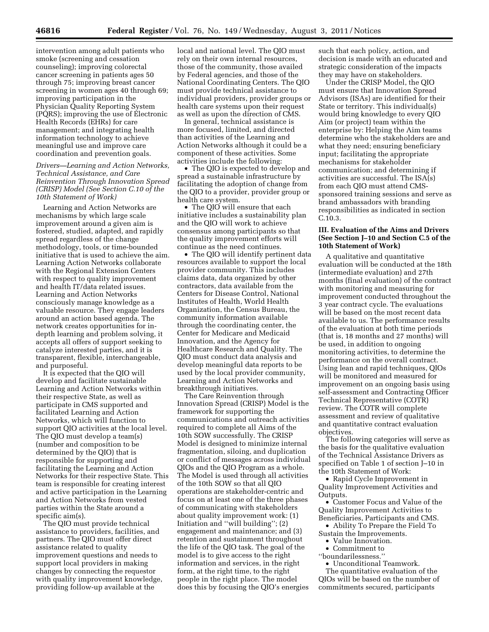intervention among adult patients who smoke (screening and cessation counseling); improving colorectal cancer screening in patients ages 50 through 75; improving breast cancer screening in women ages 40 through 69; improving participation in the Physician Quality Reporting System (PQRS); improving the use of Electronic Health Records (EHRs) for care management; and integrating health information technology to achieve meaningful use and improve care coordination and prevention goals.

*Drivers—Learning and Action Networks, Technical Assistance, and Care Reinvention Through Innovation Spread (CRISP) Model (See Section C.10 of the 10th Statement of Work)* 

Learning and Action Networks are mechanisms by which large scale improvement around a given aim is fostered, studied, adapted, and rapidly spread regardless of the change methodology, tools, or time-bounded initiative that is used to achieve the aim. Learning Action Networks collaborate with the Regional Extension Centers with respect to quality improvement and health IT/data related issues. Learning and Action Networks consciously manage knowledge as a valuable resource. They engage leaders around an action based agenda. The network creates opportunities for indepth learning and problem solving, it accepts all offers of support seeking to catalyze interested parties, and it is transparent, flexible, interchangeable, and purposeful.

It is expected that the QIO will develop and facilitate sustainable Learning and Action Networks within their respective State, as well as participate in CMS supported and facilitated Learning and Action Networks, which will function to support QIO activities at the local level. The QIO must develop a team(s) (number and composition to be determined by the QIO) that is responsible for supporting and facilitating the Learning and Action Networks for their respective State. This team is responsible for creating interest and active participation in the Learning and Action Networks from vested parties within the State around a specific aim(s).

The QIO must provide technical assistance to providers, facilities, and partners. The QIO must offer direct assistance related to quality improvement questions and needs to support local providers in making changes by connecting the requestor with quality improvement knowledge, providing follow-up available at the

local and national level. The QIO must rely on their own internal resources, those of the community, those availed by Federal agencies, and those of the National Coordinating Centers. The QIO must provide technical assistance to individual providers, provider groups or health care systems upon their request as well as upon the direction of CMS.

In general, technical assistance is more focused, limited, and directed than activities of the Learning and Action Networks although it could be a component of these activities. Some activities include the following:

• The QIO is expected to develop and spread a sustainable infrastructure by facilitating the adoption of change from the QIO to a provider, provider group or health care system.

• The QIO will ensure that each initiative includes a sustainability plan and the QIO will work to achieve consensus among participants so that the quality improvement efforts will continue as the need continues.

• The QIO will identify pertinent data resources available to support the local provider community. This includes claims data, data organized by other contractors, data available from the Centers for Disease Control, National Institutes of Health, World Health Organization, the Census Bureau, the community information available through the coordinating center, the Center for Medicare and Medicaid Innovation, and the Agency for Healthcare Research and Quality. The QIO must conduct data analysis and develop meaningful data reports to be used by the local provider community, Learning and Action Networks and breakthrough initiatives.

The Care Reinvention through Innovation Spread (CRISP) Model is the framework for supporting the communications and outreach activities required to complete all Aims of the 10th SOW successfully. The CRISP Model is designed to minimize internal fragmentation, siloing, and duplication or conflict of messages across individual QIOs and the QIO Program as a whole. The Model is used through all activities of the 10th SOW so that all QIO operations are stakeholder-centric and focus on at least one of the three phases of communicating with stakeholders about quality improvement work: (1) Initiation and ''will building''; (2) engagement and maintenance; and (3) retention and sustainment throughout the life of the QIO task. The goal of the model is to give access to the right information and services, in the right form, at the right time, to the right people in the right place. The model does this by focusing the QIO's energies

such that each policy, action, and decision is made with an educated and strategic consideration of the impacts they may have on stakeholders.

Under the CRISP Model, the QIO must ensure that Innovation Spread Advisors (ISAs) are identified for their State or territory. This individual(s) would bring knowledge to every QIO Aim (or project) team within the enterprise by: Helping the Aim teams determine who the stakeholders are and what they need; ensuring beneficiary input; facilitating the appropriate mechanisms for stakeholder communication; and determining if activities are successful. The ISA(s) from each QIO must attend CMSsponsored training sessions and serve as brand ambassadors with branding responsibilities as indicated in section C.10.3.

## **III. Evaluation of the Aims and Drivers (See Section J–10 and Section C.5 of the 10th Statement of Work)**

A qualitative and quantitative evaluation will be conducted at the 18th (intermediate evaluation) and 27th months (final evaluation) of the contract with monitoring and measuring for improvement conducted throughout the 3 year contract cycle. The evaluations will be based on the most recent data available to us. The performance results of the evaluation at both time periods (that is, 18 months and 27 months) will be used, in addition to ongoing monitoring activities, to determine the performance on the overall contract. Using lean and rapid techniques, QIOs will be monitored and measured for improvement on an ongoing basis using self-assessment and Contracting Officer Technical Representative (COTR) review. The COTR will complete assessment and review of qualitative and quantitative contract evaluation objectives.

The following categories will serve as the basis for the qualitative evaluation of the Technical Assistance Drivers as specified on Table 1 of section J–10 in the 10th Statement of Work:

• Rapid Cycle Improvement in Quality Improvement Activities and Outputs.

• Customer Focus and Value of the Quality Improvement Activities to Beneficiaries, Participants and CMS.

- Ability To Prepare the Field To Sustain the Improvements.
	- Value Innovation.
	- Commitment to
- ''boundarilessness.''
- Unconditional Teamwork.

The quantitative evaluation of the QIOs will be based on the number of commitments secured, participants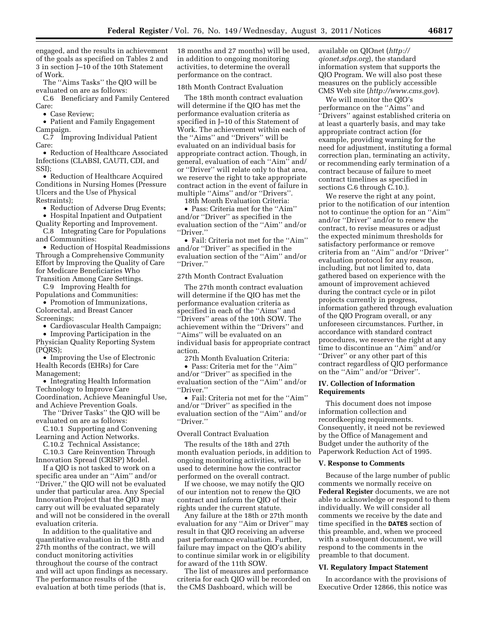engaged, and the results in achievement of the goals as specified on Tables 2 and 3 in section J–10 of the 10th Statement of Work.

The ''Aims Tasks'' the QIO will be evaluated on are as follows:

C.6 Beneficiary and Family Centered Care:

• Case Review;

• Patient and Family Engagement Campaign.

C.7 Improving Individual Patient Care:

• Reduction of Healthcare Associated Infections (CLABSI, CAUTI, CDI, and SSI);

• Reduction of Healthcare Acquired Conditions in Nursing Homes (Pressure Ulcers and the Use of Physical Restraints);

• Reduction of Adverse Drug Events;

• Hospital Inpatient and Outpatient Quality Reporting and Improvement.

C.8 Integrating Care for Populations and Communities:

• Reduction of Hospital Readmissions Through a Comprehensive Community Effort by Improving the Quality of Care for Medicare Beneficiaries Who Transition Among Care Settings.

C.9 Improving Health for Populations and Communities:

• Promotion of Immunizations, Colorectal, and Breast Cancer Screenings;

• Cardiovascular Health Campaign;

• Improving Participation in the Physician Quality Reporting System (PQRS);

• Improving the Use of Electronic Health Records (EHRs) for Care Management;

• Integrating Health Information Technology to Improve Care Coordination, Achieve Meaningful Use, and Achieve Prevention Goals.

The ''Driver Tasks'' the QIO will be evaluated on are as follows:

C.10.1 Supporting and Convening Learning and Action Networks.

C.10.2 Technical Assistance; C.10.3 Care Reinvention Through

Innovation Spread (CRISP) Model. If a QIO is not tasked to work on a

specific area under an ''Aim'' and/or ''Driver,'' the QIO will not be evaluated under that particular area. Any Special Innovation Project that the QIO may carry out will be evaluated separately and will not be considered in the overall evaluation criteria.

In addition to the qualitative and quantitative evaluation in the 18th and 27th months of the contract, we will conduct monitoring activities throughout the course of the contract and will act upon findings as necessary. The performance results of the evaluation at both time periods (that is,

18 months and 27 months) will be used, in addition to ongoing monitoring activities, to determine the overall performance on the contract.

# 18th Month Contract Evaluation

The 18th month contract evaluation will determine if the QIO has met the performance evaluation criteria as specified in J–10 of this Statement of Work. The achievement within each of the ''Aims'' and ''Drivers'' will be evaluated on an individual basis for appropriate contract action. Though, in general, evaluation of each ''Aim'' and/ or ''Driver'' will relate only to that area, we reserve the right to take appropriate contract action in the event of failure in multiple ''Aims'' and/or ''Drivers''.

18th Month Evaluation Criteria: • Pass: Criteria met for the ''Aim''

and/or ''Driver'' as specified in the evaluation section of the ''Aim'' and/or ''Driver.''

• Fail: Criteria not met for the ''Aim'' and/or ''Driver'' as specified in the evaluation section of the ''Aim'' and/or ''Driver.''

# 27th Month Contract Evaluation

The 27th month contract evaluation will determine if the QIO has met the performance evaluation criteria as specified in each of the ''Aims'' and ''Drivers'' areas of the 10th SOW. The achievement within the ''Drivers'' and ''Aims'' will be evaluated on an individual basis for appropriate contract action.

27th Month Evaluation Criteria:

• Pass: Criteria met for the ''Aim'' and/or ''Driver'' as specified in the evaluation section of the ''Aim'' and/or ''Driver.''

• Fail: Criteria not met for the ''Aim'' and/or ''Driver'' as specified in the evaluation section of the ''Aim'' and/or ''Driver.''

# Overall Contract Evaluation

The results of the 18th and 27th month evaluation periods, in addition to ongoing monitoring activities, will be used to determine how the contractor performed on the overall contract.

If we choose, we may notify the QIO of our intention not to renew the QIO contract and inform the QIO of their rights under the current statute.

Any failure at the 18th or 27th month evaluation for any ''Aim or Driver'' may result in that QIO receiving an adverse past performance evaluation. Further, failure may impact on the QIO's ability to continue similar work in or eligibility for award of the 11th SOW.

The list of measures and performance criteria for each QIO will be recorded on the CMS Dashboard, which will be

available on QIOnet (*[http://](http://qionet.sdps.org) [qionet.sdps.org](http://qionet.sdps.org)*), the standard information system that supports the QIO Program. We will also post these measures on the publicly accessible CMS Web site (*<http://www.cms.gov>*).

We will monitor the QIO's performance on the ''Aims'' and ''Drivers'' against established criteria on at least a quarterly basis, and may take appropriate contract action (for example, providing warning for the need for adjustment, instituting a formal correction plan, terminating an activity, or recommending early termination of a contract because of failure to meet contract timelines as specified in sections C.6 through C.10.).

We reserve the right at any point, prior to the notification of our intention not to continue the option for an ''Aim'' and/or ''Driver'' and/or to renew the contract, to revise measures or adjust the expected minimum thresholds for satisfactory performance or remove criteria from an ''Aim'' and/or ''Driver'' evaluation protocol for any reason, including, but not limited to, data gathered based on experience with the amount of improvement achieved during the contract cycle or in pilot projects currently in progress, information gathered through evaluation of the QIO Program overall, or any unforeseen circumstances. Further, in accordance with standard contract procedures, we reserve the right at any time to discontinue an ''Aim'' and/or ''Driver'' or any other part of this contract regardless of QIO performance on the ''Aim'' and/or ''Driver''.

### **IV. Collection of Information Requirements**

This document does not impose information collection and recordkeeping requirements. Consequently, it need not be reviewed by the Office of Management and Budget under the authority of the Paperwork Reduction Act of 1995.

#### **V. Response to Comments**

Because of the large number of public comments we normally receive on **Federal Register** documents, we are not able to acknowledge or respond to them individually. We will consider all comments we receive by the date and time specified in the **DATES** section of this preamble, and, when we proceed with a subsequent document, we will respond to the comments in the preamble to that document.

#### **VI. Regulatory Impact Statement**

In accordance with the provisions of Executive Order 12866, this notice was